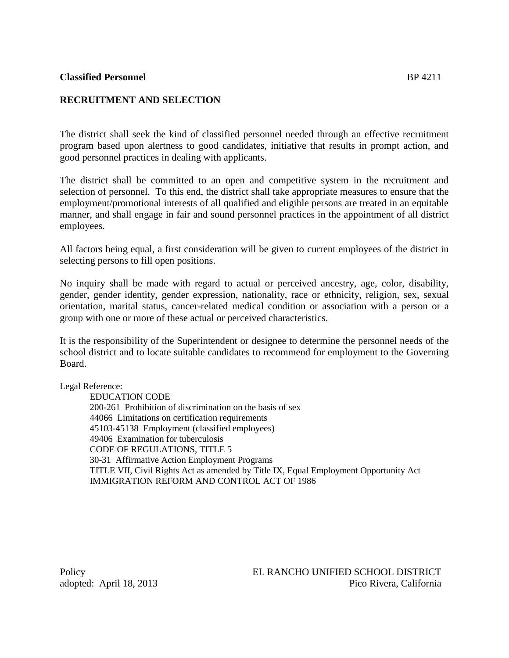#### **Classified Personnel** BP 4211

# **RECRUITMENT AND SELECTION**

The district shall seek the kind of classified personnel needed through an effective recruitment program based upon alertness to good candidates, initiative that results in prompt action, and good personnel practices in dealing with applicants.

The district shall be committed to an open and competitive system in the recruitment and selection of personnel. To this end, the district shall take appropriate measures to ensure that the employment/promotional interests of all qualified and eligible persons are treated in an equitable manner, and shall engage in fair and sound personnel practices in the appointment of all district employees.

All factors being equal, a first consideration will be given to current employees of the district in selecting persons to fill open positions.

No inquiry shall be made with regard to actual or perceived ancestry, age, color, disability, gender, gender identity, gender expression, nationality, race or ethnicity, religion, sex, sexual orientation, marital status, cancer-related medical condition or association with a person or a group with one or more of these actual or perceived characteristics.

It is the responsibility of the Superintendent or designee to determine the personnel needs of the school district and to locate suitable candidates to recommend for employment to the Governing Board.

Legal Reference:

EDUCATION CODE 200-261 Prohibition of discrimination on the basis of sex 44066 Limitations on certification requirements 45103-45138 Employment (classified employees) 49406 Examination for tuberculosis CODE OF REGULATIONS, TITLE 5 30-31 Affirmative Action Employment Programs TITLE VII, Civil Rights Act as amended by Title IX, Equal Employment Opportunity Act IMMIGRATION REFORM AND CONTROL ACT OF 1986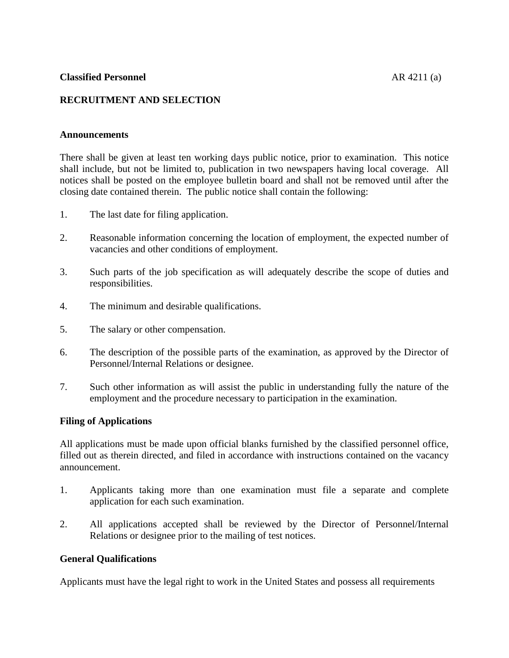# **Classified Personnel AR 4211** (a)

# **RECRUITMENT AND SELECTION**

#### **Announcements**

There shall be given at least ten working days public notice, prior to examination. This notice shall include, but not be limited to, publication in two newspapers having local coverage. All notices shall be posted on the employee bulletin board and shall not be removed until after the closing date contained therein. The public notice shall contain the following:

- 1. The last date for filing application.
- 2. Reasonable information concerning the location of employment, the expected number of vacancies and other conditions of employment.
- 3. Such parts of the job specification as will adequately describe the scope of duties and responsibilities.
- 4. The minimum and desirable qualifications.
- 5. The salary or other compensation.
- 6. The description of the possible parts of the examination, as approved by the Director of Personnel/Internal Relations or designee.
- 7. Such other information as will assist the public in understanding fully the nature of the employment and the procedure necessary to participation in the examination.

#### **Filing of Applications**

All applications must be made upon official blanks furnished by the classified personnel office, filled out as therein directed, and filed in accordance with instructions contained on the vacancy announcement.

- 1. Applicants taking more than one examination must file a separate and complete application for each such examination.
- 2. All applications accepted shall be reviewed by the Director of Personnel/Internal Relations or designee prior to the mailing of test notices.

#### **General Qualifications**

Applicants must have the legal right to work in the United States and possess all requirements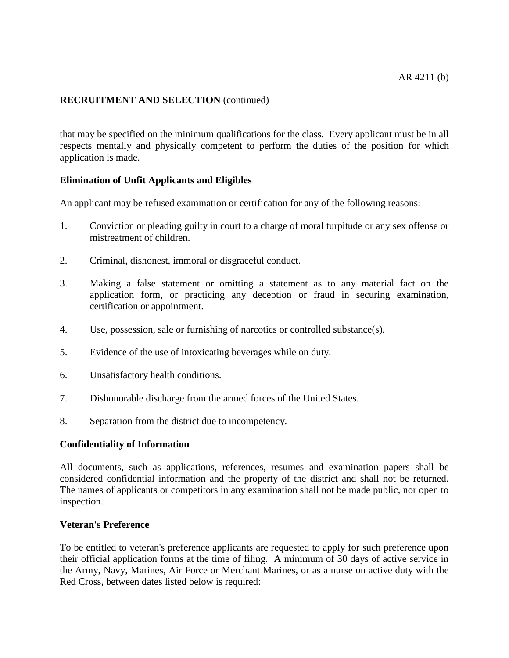# **RECRUITMENT AND SELECTION** (continued)

that may be specified on the minimum qualifications for the class. Every applicant must be in all respects mentally and physically competent to perform the duties of the position for which application is made.

# **Elimination of Unfit Applicants and Eligibles**

An applicant may be refused examination or certification for any of the following reasons:

- 1. Conviction or pleading guilty in court to a charge of moral turpitude or any sex offense or mistreatment of children.
- 2. Criminal, dishonest, immoral or disgraceful conduct.
- 3. Making a false statement or omitting a statement as to any material fact on the application form, or practicing any deception or fraud in securing examination, certification or appointment.
- 4. Use, possession, sale or furnishing of narcotics or controlled substance(s).
- 5. Evidence of the use of intoxicating beverages while on duty.
- 6. Unsatisfactory health conditions.
- 7. Dishonorable discharge from the armed forces of the United States.
- 8. Separation from the district due to incompetency.

# **Confidentiality of Information**

All documents, such as applications, references, resumes and examination papers shall be considered confidential information and the property of the district and shall not be returned. The names of applicants or competitors in any examination shall not be made public, nor open to inspection.

#### **Veteran's Preference**

To be entitled to veteran's preference applicants are requested to apply for such preference upon their official application forms at the time of filing. A minimum of 30 days of active service in the Army, Navy, Marines, Air Force or Merchant Marines, or as a nurse on active duty with the Red Cross, between dates listed below is required: